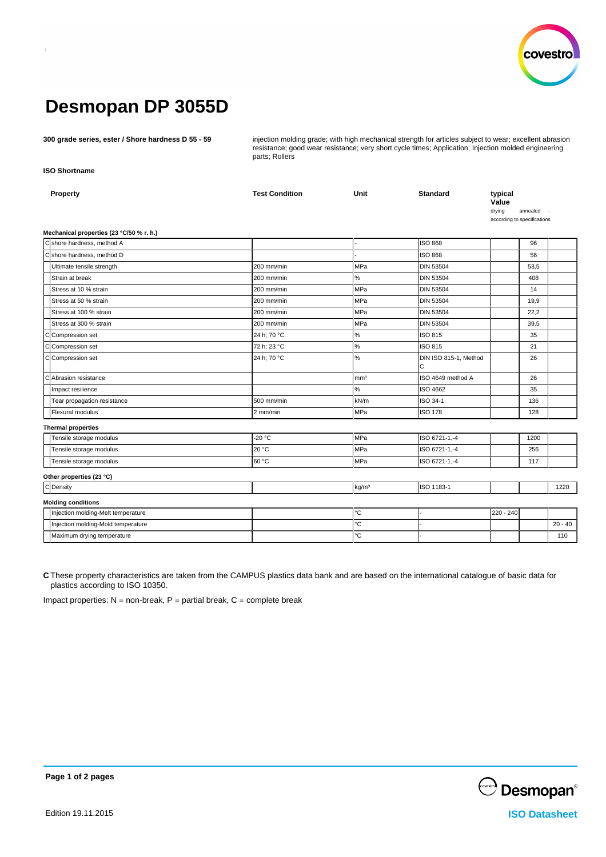

# **Desmopan DP 3055D**

**300 grade series, ester / Shore hardness D 55 - 59** injection molding grade; with high mechanical strength for articles subject to wear; excellent abrasion resistance; good wear resistance; very short cycle times; Application; Injection molded engineering parts; Rollers

**ISO Shortname**

| Property<br>Mechanical properties (23 °C/50 % r. h.) | <b>Test Condition</b> | Unit              | <b>Standard</b>            | typical<br>Value<br>drying<br>according to specifications | annealed |           |
|------------------------------------------------------|-----------------------|-------------------|----------------------------|-----------------------------------------------------------|----------|-----------|
| C shore hardness, method A                           |                       |                   | <b>ISO 868</b>             |                                                           | 96       |           |
| C shore hardness, method D                           |                       |                   | <b>ISO 868</b>             |                                                           | 56       |           |
| Ultimate tensile strength                            | 200 mm/min            | MPa               | <b>DIN 53504</b>           |                                                           | 53,5     |           |
| Strain at break                                      | 200 mm/min            | $\%$              | <b>DIN 53504</b>           |                                                           | 408      |           |
| Stress at 10 % strain                                | 200 mm/min            | MPa               | <b>DIN 53504</b>           |                                                           | 14       |           |
| Stress at 50 % strain                                | 200 mm/min            | <b>MPa</b>        | <b>DIN 53504</b>           |                                                           | 19,9     |           |
| Stress at 100 % strain                               | 200 mm/min            | MPa               | <b>DIN 53504</b>           |                                                           | 22,2     |           |
| Stress at 300 % strain                               | 200 mm/min            | MPa               | <b>DIN 53504</b>           |                                                           | 39,5     |           |
| C Compression set                                    | 24 h; 70 °C           | $\%$              | ISO 815                    |                                                           | 35       |           |
| cl<br>Compression set                                | 72 h; 23 °C           | %                 | ISO 815                    |                                                           | 21       |           |
| C Compression set                                    | 24 h; 70 °C           | %                 | DIN ISO 815-1, Method<br>C |                                                           | 26       |           |
| Ċ<br>Abrasion resistance                             |                       | mm <sup>3</sup>   | ISO 4649 method A          |                                                           | 26       |           |
| Impact resilience                                    |                       | %                 | ISO 4662                   |                                                           | 35       |           |
| Tear propagation resistance                          | 500 mm/min            | kN/m              | ISO 34-1                   |                                                           | 136      |           |
| Flexural modulus                                     | 2 mm/min              | MPa               | <b>ISO 178</b>             |                                                           | 128      |           |
| <b>Thermal properties</b>                            |                       |                   |                            |                                                           |          |           |
| Tensile storage modulus                              | $-20 °C$              | MPa               | ISO 6721-1,-4              |                                                           | 1200     |           |
| Tensile storage modulus                              | 20 °C                 | <b>MPa</b>        | ISO 6721-1,-4              |                                                           | 256      |           |
| Tensile storage modulus                              | 60 °C                 | MPa               | ISO 6721-1,-4              |                                                           | 117      |           |
| Other properties (23 °C)                             |                       |                   |                            |                                                           |          |           |
| C Density                                            |                       | kg/m <sup>3</sup> | ISO 1183-1                 |                                                           |          | 1220      |
| <b>Molding conditions</b>                            |                       |                   |                            |                                                           |          |           |
| Injection molding-Melt temperature                   |                       | $^{\circ}{\rm C}$ |                            | 220 - 240                                                 |          |           |
| Injection molding-Mold temperature                   |                       | °C                |                            |                                                           |          | $20 - 40$ |
| Maximum drying temperature                           |                       | $^{\circ}{\rm C}$ |                            |                                                           |          | 110       |
|                                                      |                       |                   |                            |                                                           |          |           |

**C** These property characteristics are taken from the CAMPUS plastics data bank and are based on the international catalogue of basic data for plastics according to ISO 10350.

Impact properties:  $N =$  non-break,  $P =$  partial break,  $C =$  complete break